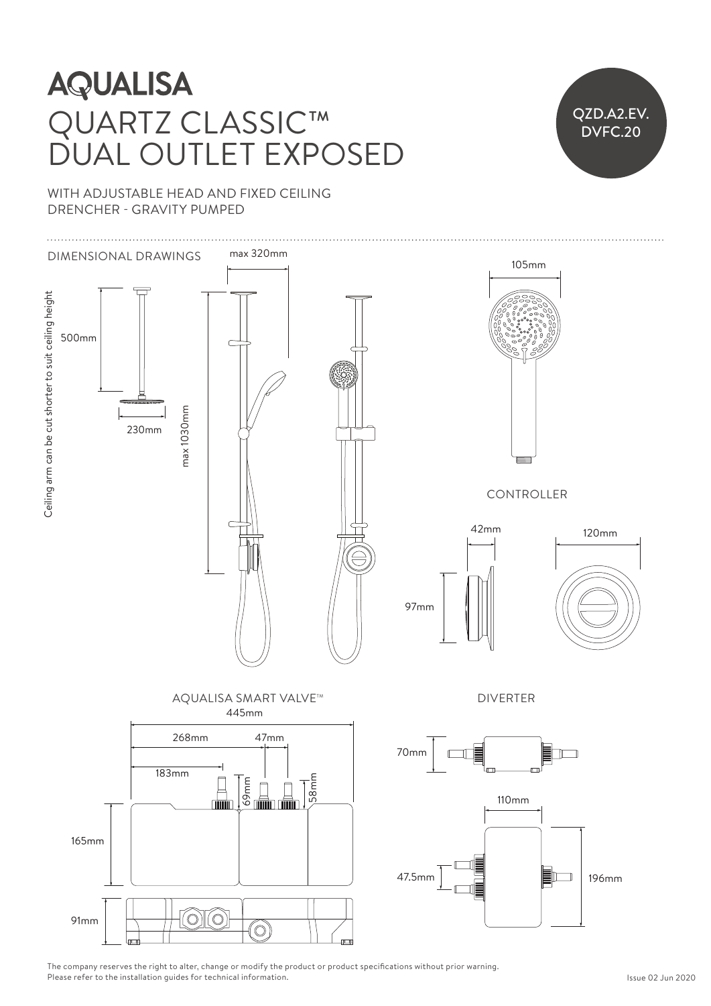# QUARTZ CLASSIC™ DUAL OUTLET EXPOSED  $250$  $\overline{\mathcal{L}}$  $\frac{1}{\sqrt{2}}$



WITH ADJUSTABLE HEAD AND FIXED CEILING DRENCHER - GRAVITY PUMPED



The company reserves the right to alter, change or modify the product or product specifications without prior warning. Please refer to the installation guides for technical information.